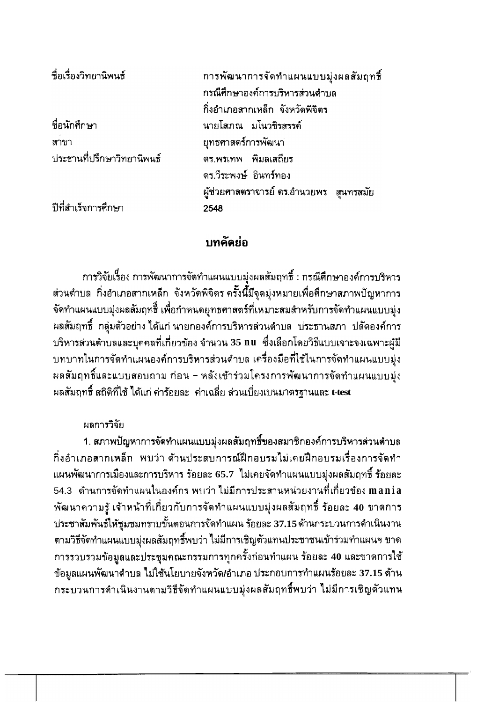| ชื่อเรื่องวิทยานิพนธ์      | การพัฒนาการจัดทำแผนแบบมุ่งผลสัมฤทธิ์<br>กรณีศึกษาองค์การบริหารส่วนด้าบล |
|----------------------------|-------------------------------------------------------------------------|
|                            | กิ่งอำเภอสากเหล็ก จังหวัดพิจิตร                                         |
| ชื่อนักศึกษา               | นายโสภณ มโนวซิรสรรค์                                                    |
| สาขา                       | ยุทธศาสตร์การพัฒนา                                                      |
| ประธานที่ปรึกษาวิทยานิพนธ์ | ดร.พรเทพ พิมลเสถียร                                                     |
|                            | ดร.วีระพงษ์ อินทร์ทอง                                                   |
|                            | ผู้ช่วยศาสตราจารย์ ดร.อำนวยพร สุนทรสมัย                                 |
| ปีที่สำเร็จการศึกษา        | 2548                                                                    |
|                            |                                                                         |

## บทคัดย่อ

่ การวิจัยเรื่อง การพัฒนาการจัดทำแผนแบบมุ่งผลสัมฤทธิ์ : กรณีศึกษาองค์การบริหาร ส่วนดำบล กิ่งอำเภอสากเหล็ก จังหวัดพิจิตร ครั้งนี้มีจุดมุ่งหมายเพื่อศึกษาสภาพปัญหาการ จัดทำแผนแบบมุ่งผลสัมฤทธิ์ เพื่อกำหนดยุทธศาสตร์ที่เหมาะสมสำหรับการจัดทำแผนแบบมุ่ง ผลสัมฤทธิ์ กลุ่มตัวอย่าง ได้แก่ นายกองค์การบริหารส่วนตำบล ประธานสภา ปลัดองค์การ ู บริหารส่วนตำบลและบุคคลที่เกี่ยวข้อง จำนวน 35 nu ซึ่งเลือกโดยวิธีแบบเจาะจงเฉพาะผู้มี บทบาทในการจัดทำแผนองค์การบริหารส่วนตำบล เครื่องมือที่ใช้ในการจัดทำแผนแบบมุ่ง ้ผลสัมฤทธิ์และแบบสอบถาม ก่อน – หลังเข้าร่วมโครงการพัฒนาการจัดทำแผนแบบมุ่ง ผลสัมฤทธิ์ สถิติที่ใช้ ได้แก่ ค่าร้อยละ ค่าเฉลี่ย ส่วนเบี่ยงเบนมาตรฐานและ t-test

## ผลการวิจัย

1. สภาพปัญหาการจัดทำแผนแบบมุ่งผลสัมฤทธิ์ของสมาชิกองค์การบริหารส่วนตำบล ้กิ่งอำเภอสากเหล็ก พบว่า ด้านประสบการณ์ฝึกอบรมไม่เคยฝึกอบรมเรื่องการจัดทำ ้แผนพัฒนาการเมืองและการบริหาร ร้อยละ 65.7 ไม่เคยจัดทำแผนแบบมุ่งผลสัมฤทธิ์ ร้อยละ 54.3 ด้านการจัดทำแผนในองค์กร พบว่า ไม่มีการประสานหน่วยงานที่เกี่ยวข้อง mania ้พัฒนาความรู้ เจ้าหน้าที่เกี่ยวกับการจัดทำแผนแบบมุ่งผลสัมฤทธิ์ ร้อยละ 40 ขาดการ ประชาสัมพันธ์ให้ชุมชมทราบขั้นตอนการจัดทำแผน ร้อยละ 37.15 ด้านกระบวนการดำเนินงาน ตามวิธีจัดทำแผนแบบมุ่งผลสัมฤทธิ์พบว่า ไม่มีการเชิญตัวแทนประชาชนเข้าร่วมทำแผนฯ ขาด ี การรวบรวมข้อมูลและประชุมคณะกรรมการทุกครั้งก่อนทำแผน ร้อยละ 40 และขาดการใช้ ข้อมูลแผนพัฒนาดำบล ไม่ใช้นโยบายจังหวัด/อำเภอ ประกอบการทำแผนร้อยละ 37.15 ด้าน ึกระบวนการดำเนินงานตามวิธีจัดทำแผนแบบมุ่งผลสัมฤทธิ์พบว่า ไม่มีการเชิญตัวแทน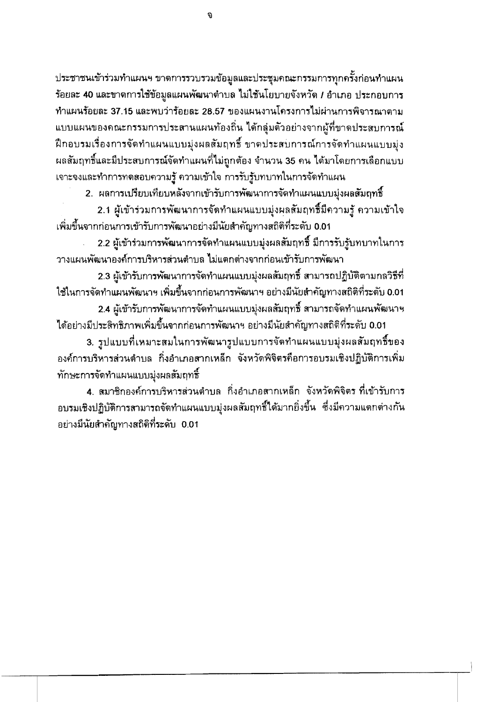ประชาชนเข้าร่วมทำแผนฯ ขาดการรวบรวมข้อมูลและประชุมคณะกรรมการทุกครั้งก่อนทำแผน ร้อยละ 40 และขาดการใช้ข้อมูลแผนพัฒนาตำบล ไม่ใช้นโยบายจังหวัด / อำเภอ ประกอบการ ทำแผนร้อยละ 37.15 และพบว่าร้อยละ 28.57 ของแผนงานโครงการไม่ผ่านการพิจารณาตาม แบบแผนของคณะกรรมการประสานแผนท้องถิ่น ได้กลุ่มตัวอย่างจากผู้ที่ขาดประสบการณ์ ้ฝึกอบรมเรื่องการจัดทำแผนแบบมุ่งผลสัมฤทธิ์ ขาดประสบการณ์การจัดทำแผนแบบมุ่ง ้ผลสัมฤทธิ์และมีประสบการณ์จัดทำแผนที่ไม่ถูกต้อง จำนวน 35 คน ได้มาโดยการเลือกแบบ เจาะจงและทำการทดสอบความรู้ ความเข้าใจ การรับรู้บทบาทในการจัดทำแผน

2. ผลการเปรียบเทียบหลังจากเข้ารับการพัฒนาการจัดทำแผนแบบมุ่งผลสัมฤทธิ์

่ 2.1 ผู้เข้าร่วมการพัฒนาการจัดทำแผนแบบมุ่งผลสัมฤทธิ์มีความรู้ ความเข้าใจ ูเพิ่มขึ้นจากก่อนการเข้ารับการพัฒนาอย่างมีนัยสำคัญทางสถิติที่ระดับ 0.01

่ 2.2 ผู้เข้าร่วมการพัฒนาการจัดทำแผนแบบมุ่งผลสัมฤทธิ์ มีการรับรู้บทบาทในการ วางแผนพัฒนาองค์การบริหารส่วนตำบล ไม่แตกต่างจากก่อนเข้ารับการพัฒนา

2.3 ผู้เข้ารับการพัฒนาการจัดทำแผนแบบมุ่งผลสัมฤทธิ์ สามารถปฏิบัติตามกลวิธีที่ ใช้ในการจัดทำแผนพัฒนาฯ เพิ่มขึ้นจากก่อนการพัฒนาฯ อย่างมีนัยสำคัญทางสถิติที่ระดับ 0.01

2.4 ผู้เข้ารับการพัฒนาการจัดทำแผนแบบมุ่งผลสัมฤทธิ์ สามารถจัดทำแผนพัฒนาฯ ได้อย่างมีประสิทธิภาพเพิ่มขึ้นจากก่อนการพัฒนาฯ อย่างมีนัยสำคัญทางสถิติที่ระดับ 0.01

3. รูปแบบที่เหมาะสมในการพัฒนารูปแบบการจัดทำแผนแบบมุ่งผลสัมฤทธิ์ของ ้องค์การบริหารส่วนตำบล กิ่งอำเภอสากเหล็ก จังหวัดพิจิตรคือการอบรมเชิงปฏิบัติการเพิ่ม ทักษะการจัดทำแผนแบบมุ่งผลสัมฤทธิ์

4. สมาชิกองค์การบริหารส่วนตำบล กิ่งอำเภอสากเหล็ก จังหวัดพิจิตร ที่เข้ารับการ ้อบรมเชิงปฏิบัติการสามารถจัดทำแผนแบบมุ่งผลสัมฤทธิ์ได้มากยิ่งขึ้น ซึ่งมีความแตกต่างกัน ่อย่างมีนัยสำคัญทางสถิติที่ระดับ 0.01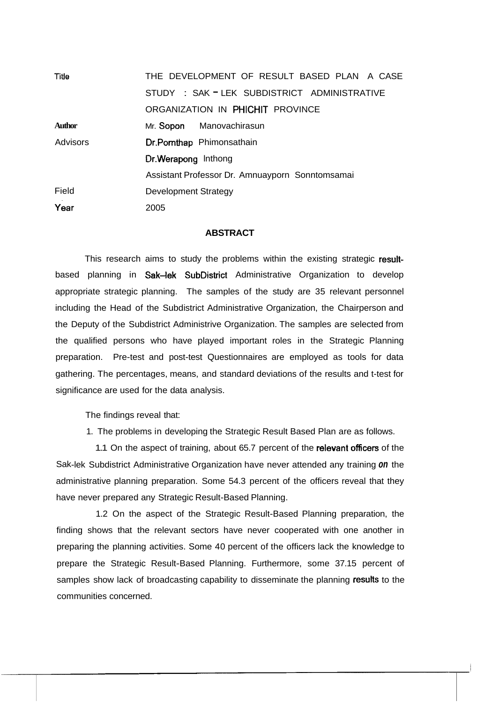| Title         | THE DEVELOPMENT OF RESULT BASED PLAN A CASE     |
|---------------|-------------------------------------------------|
|               | STUDY: SAK - LEK SUBDISTRICT ADMINISTRATIVE     |
|               | ORGANIZATION IN PHICHIT PROVINCE                |
| <b>Author</b> | Mr. Sopon Manovachirasun                        |
| Advisors      | Dr.Pomthap Phimonsathain                        |
|               | Dr. Werapong Inthong                            |
|               | Assistant Professor Dr. Amnuayporn Sonntomsamai |
| Field         | <b>Development Strategy</b>                     |
| Year          | 2005                                            |

## **ABSTRACT**

This research aims to study the problems within the existing strategic resultbased planning in Sak-lek SubDistrict Administrative Organization to develop appropriate strategic planning. The samples of the study are 35 relevant personnel including the Head of the Subdistrict Administrative Organization, the Chairperson and the Deputy of the Subdistrict Administrive Organization. The samples are selected from the qualified persons who have played important roles in the Strategic Planning preparation. Pre-test and post-test Questionnaires are employed as tools for data gathering. The percentages, means, and standard deviations of the results and t-test for significance are used for the data analysis.

The findings reveal that:

1. The problems in developing the Strategic Result Based Plan are as follows.

1.1 On the aspect of training, about 65.7 percent of the relevant officers of the Sak-lek Subdistrict Administrative Organization have never attended any training **on** the administrative planning preparation. Some 54.3 percent of the officers reveal that they have never prepared any Strategic Result-Based Planning.

1.2 On the aspect of the Strategic Result-Based Planning preparation, the finding shows that the relevant sectors have never cooperated with one another in preparing the planning activities. Some 40 percent of the officers lack the knowledge to prepare the Strategic Result-Based Planning. Furthermore, some 37.15 percent of samples show lack of broadcasting capability to disseminate the planning results to the communities concerned.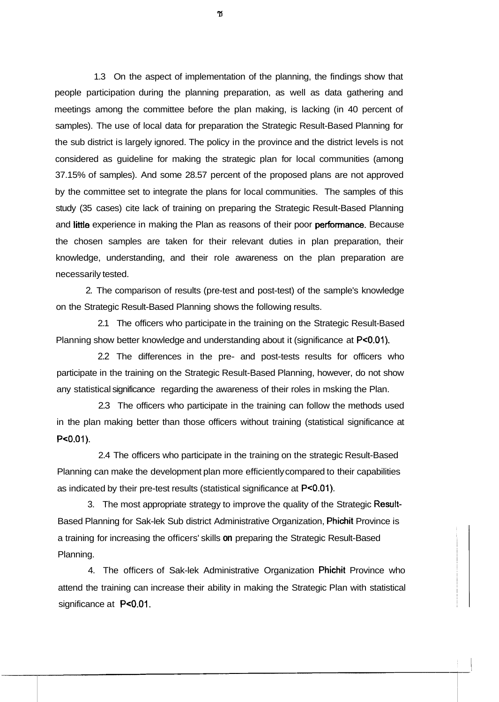1.3 On the aspect of implementation of the planning, the findings show that people participation during the planning preparation, as well as data gathering and meetings among the committee before the plan making, is lacking (in 40 percent of samples). The use of local data for preparation the Strategic Result-Based Planning for the sub district is largely ignored. The policy in the province and the district levels is not considered as guideline for making the strategic plan for local communities (among 37.15% of samples). And some 28.57 percent of the proposed plans are not approved by the committee set to integrate the plans for local communities. The samples of this study (35 cases) cite lack of training on preparing the Strategic Result-Based Planning and little experience in making the Plan as reasons of their poor performance. Because the chosen samples are taken for their relevant duties in plan preparation, their knowledge, understanding, and their role awareness on the plan preparation are necessarily tested.

2. The comparison of results (pre-test and post-test) of the sample's knowledge on the Strategic Result-Based Planning shows the following results.

2.1 The officers who participate in the training on the Strategic Result-Based Planning show better knowledge and understanding about it (significance at P<0.01).

2.2 The differences in the pre- and post-tests results for officers who participate in the training on the Strategic Result-Based Planning, however, do not show any statistical significance regarding the awareness of their roles in msking the Plan.

2.3 The officers who participate in the training can follow the methods used in the plan making better than those officers without training (statistical significance at  $P < 0.01$ ).

2.4 The officers who participate in the training on the strategic Result-Based Planning can make the development plan more efficiently compared to their capabilities as indicated by their pre-test results (statistical significance at PcO.01).

3. The most appropriate strategy to improve the quality of the Strategic Result-Based Planning for Sak-lek Sub district Administrative Organization, Phichit Province is a training for increasing the officers' skills **on** preparing the Strategic Result-Based Planning.

4. The officers of Sak-lek Administrative Organization Phichit Province who attend the training can increase their ability in making the Strategic Plan with statistical significance at P<0.01.

ซ